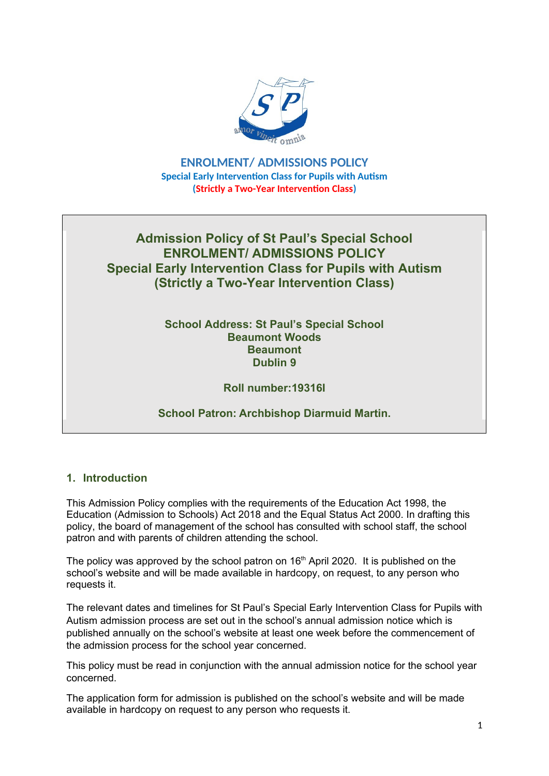

**ENROLMENT/ ADMISSIONS POLICY Special Early Intervention Class for Pupils with Autism (Strictly a Two-Year Intervention Class)**

# **Admission Policy of St Paul's Special School ENROLMENT/ ADMISSIONS POLICY Special Early Intervention Class for Pupils with Autism (Strictly a Two-Year Intervention Class)**

#### **School Address: St Paul's Special School Beaumont Woods Beaumont Dublin 9**

# **Roll number:19316I**

# **School Patron: Archbishop Diarmuid Martin.**

### **1. Introduction**

This Admission Policy complies with the requirements of the Education Act 1998, the Education (Admission to Schools) Act 2018 and the Equal Status Act 2000. In drafting this policy, the board of management of the school has consulted with school staff, the school patron and with parents of children attending the school.

The policy was approved by the school patron on  $16<sup>th</sup>$  April 2020. It is published on the school's website and will be made available in hardcopy, on request, to any person who requests it.

The relevant dates and timelines for St Paul's Special Early Intervention Class for Pupils with Autism admission process are set out in the school's annual admission notice which is published annually on the school's website at least one week before the commencement of the admission process for the school year concerned.

This policy must be read in conjunction with the annual admission notice for the school year concerned.

The application form for admission is published on the school's website and will be made available in hardcopy on request to any person who requests it.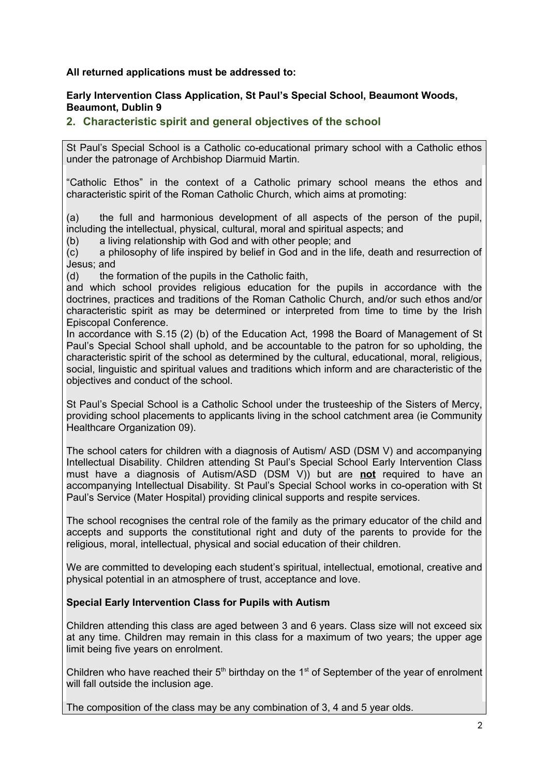#### **All returned applications must be addressed to:**

#### **Early Intervention Class Application, St Paul's Special School, Beaumont Woods, Beaumont, Dublin 9**

### **2. Characteristic spirit and general objectives of the school**

St Paul's Special School is a Catholic co-educational primary school with a Catholic ethos under the patronage of Archbishop Diarmuid Martin.

"Catholic Ethos" in the context of a Catholic primary school means the ethos and characteristic spirit of the Roman Catholic Church, which aims at promoting:

(a) the full and harmonious development of all aspects of the person of the pupil, including the intellectual, physical, cultural, moral and spiritual aspects; and

(b) a living relationship with God and with other people; and

(c) a philosophy of life inspired by belief in God and in the life, death and resurrection of Jesus; and

(d) the formation of the pupils in the Catholic faith,

and which school provides religious education for the pupils in accordance with the doctrines, practices and traditions of the Roman Catholic Church, and/or such ethos and/or characteristic spirit as may be determined or interpreted from time to time by the Irish Episcopal Conference.

In accordance with S.15 (2) (b) of the Education Act, 1998 the Board of Management of St Paul's Special School shall uphold, and be accountable to the patron for so upholding, the characteristic spirit of the school as determined by the cultural, educational, moral, religious, social, linguistic and spiritual values and traditions which inform and are characteristic of the objectives and conduct of the school.

St Paul's Special School is a Catholic School under the trusteeship of the Sisters of Mercy, providing school placements to applicants living in the school catchment area (ie Community Healthcare Organization 09).

The school caters for children with a diagnosis of Autism/ ASD (DSM V) and accompanying Intellectual Disability. Children attending St Paul's Special School Early Intervention Class must have a diagnosis of Autism/ASD (DSM V)) but are **not** required to have an accompanying Intellectual Disability. St Paul's Special School works in co-operation with St Paul's Service (Mater Hospital) providing clinical supports and respite services.

The school recognises the central role of the family as the primary educator of the child and accepts and supports the constitutional right and duty of the parents to provide for the religious, moral, intellectual, physical and social education of their children.

We are committed to developing each student's spiritual, intellectual, emotional, creative and physical potential in an atmosphere of trust, acceptance and love.

#### **Special Early Intervention Class for Pupils with Autism**

Children attending this class are aged between 3 and 6 years. Class size will not exceed six at any time. Children may remain in this class for a maximum of two years; the upper age limit being five years on enrolment.

Children who have reached their  $5<sup>th</sup>$  birthday on the 1<sup>st</sup> of September of the year of enrolment will fall outside the inclusion age.

The composition of the class may be any combination of 3, 4 and 5 year olds.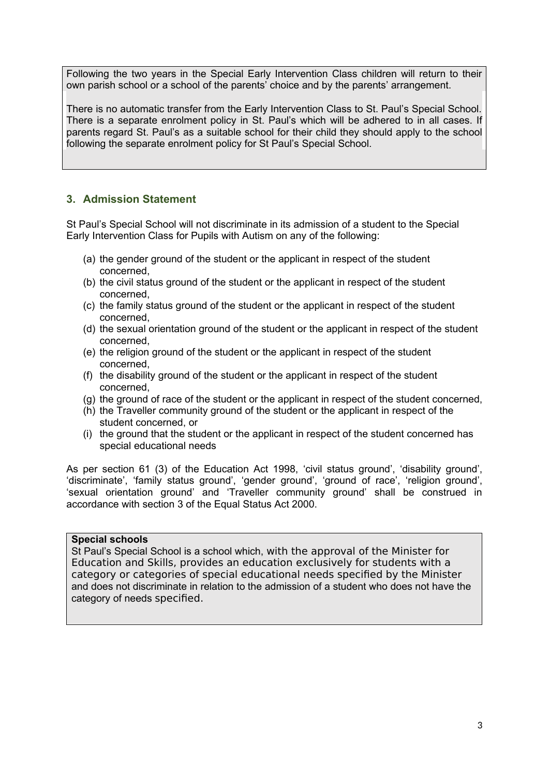Following the two years in the Special Early Intervention Class children will return to their own parish school or a school of the parents' choice and by the parents' arrangement.

There is no automatic transfer from the Early Intervention Class to St. Paul's Special School. There is a separate enrolment policy in St. Paul's which will be adhered to in all cases. If parents regard St. Paul's as a suitable school for their child they should apply to the school following the separate enrolment policy for St Paul's Special School.

## **3. Admission Statement**

St Paul's Special School will not discriminate in its admission of a student to the Special Early Intervention Class for Pupils with Autism on any of the following:

- (a) the gender ground of the student or the applicant in respect of the student concerned,
- (b) the civil status ground of the student or the applicant in respect of the student concerned,
- (c) the family status ground of the student or the applicant in respect of the student concerned,
- (d) the sexual orientation ground of the student or the applicant in respect of the student concerned,
- (e) the religion ground of the student or the applicant in respect of the student concerned,
- (f) the disability ground of the student or the applicant in respect of the student concerned,
- (g) the ground of race of the student or the applicant in respect of the student concerned,
- (h) the Traveller community ground of the student or the applicant in respect of the student concerned, or
- (i) the ground that the student or the applicant in respect of the student concerned has special educational needs

As per section 61 (3) of the Education Act 1998, 'civil status ground', 'disability ground', 'discriminate', 'family status ground', 'gender ground', 'ground of race', 'religion ground', 'sexual orientation ground' and 'Traveller community ground' shall be construed in accordance with section 3 of the Equal Status Act 2000.

#### **Special schools**

St Paul's Special School is a school which, with the approval of the Minister for Education and Skills, provides an education exclusively for students with a category or categories of special educational needs specified by the Minister and does not discriminate in relation to the admission of a student who does not have the category of needs specified.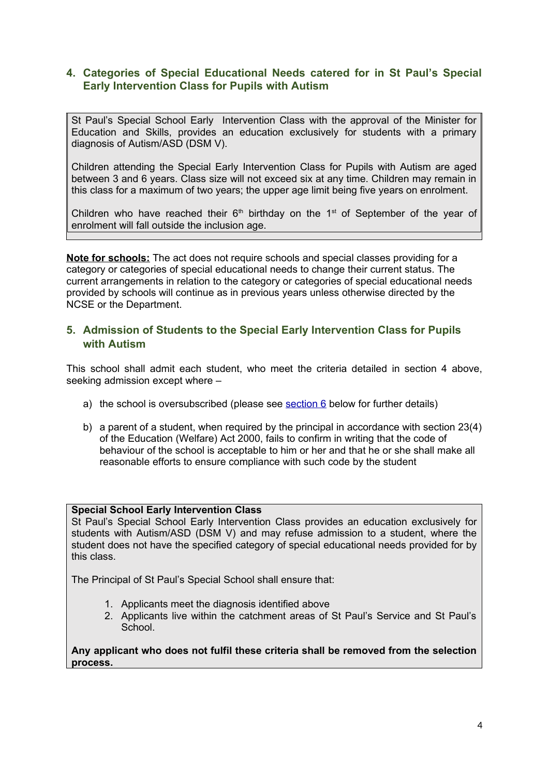### **4. Categories of Special Educational Needs catered for in St Paul's Special Early Intervention Class for Pupils with Autism**

St Paul's Special School Early Intervention Class with the approval of the Minister for Education and Skills, provides an education exclusively for students with a primary diagnosis of Autism/ASD (DSM V).

Children attending the Special Early Intervention Class for Pupils with Autism are aged between 3 and 6 years. Class size will not exceed six at any time. Children may remain in this class for a maximum of two years; the upper age limit being five years on enrolment.

Children who have reached their  $6<sup>th</sup>$  birthday on the 1<sup>st</sup> of September of the year of enrolment will fall outside the inclusion age.

**Note for schools:** The act does not require schools and special classes providing for a category or categories of special educational needs to change their current status. The current arrangements in relation to the category or categories of special educational needs provided by schools will continue as in previous years unless otherwise directed by the NCSE or the Department.

### **5. Admission of Students to the Special Early Intervention Class for Pupils with Autism**

This school shall admit each student, who meet the criteria detailed in section 4 above, seeking admission except where –

- a) the school is oversubscribed (please see [section 6](#page-4-0) below for further details)
- b) a parent of a student, when required by the principal in accordance with section 23(4) of the Education (Welfare) Act 2000, fails to confirm in writing that the code of behaviour of the school is acceptable to him or her and that he or she shall make all reasonable efforts to ensure compliance with such code by the student

#### **Special School Early Intervention Class**

St Paul's Special School Early Intervention Class provides an education exclusively for students with Autism/ASD (DSM V) and may refuse admission to a student, where the student does not have the specified category of special educational needs provided for by this class.

The Principal of St Paul's Special School shall ensure that:

- 1. Applicants meet the diagnosis identified above
- 2. Applicants live within the catchment areas of St Paul's Service and St Paul's School.

**Any applicant who does not fulfil these criteria shall be removed from the selection process.**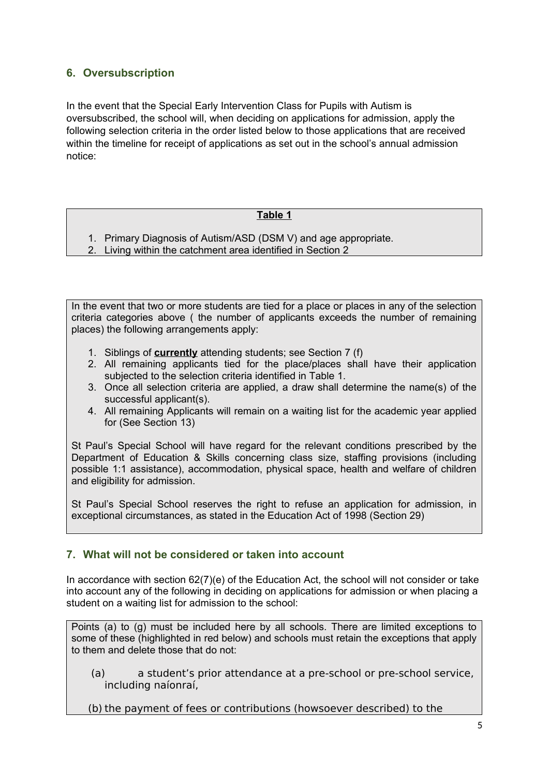# <span id="page-4-0"></span>**6. Oversubscription**

In the event that the Special Early Intervention Class for Pupils with Autism is oversubscribed, the school will, when deciding on applications for admission, apply the following selection criteria in the order listed below to those applications that are received within the timeline for receipt of applications as set out in the school's annual admission notice:

### **Table 1**

- 1. Primary Diagnosis of Autism/ASD (DSM V) and age appropriate.
- 2. Living within the catchment area identified in Section 2

In the event that two or more students are tied for a place or places in any of the selection criteria categories above ( the number of applicants exceeds the number of remaining places) the following arrangements apply:

- 1. Siblings of **currently** attending students; see Section 7 (f)
- 2. All remaining applicants tied for the place/places shall have their application subjected to the selection criteria identified in Table 1.
- 3. Once all selection criteria are applied, a draw shall determine the name(s) of the successful applicant(s).
- 4. All remaining Applicants will remain on a waiting list for the academic year applied for (See Section 13)

St Paul's Special School will have regard for the relevant conditions prescribed by the Department of Education & Skills concerning class size, staffing provisions (including possible 1:1 assistance), accommodation, physical space, health and welfare of children and eligibility for admission.

St Paul's Special School reserves the right to refuse an application for admission, in exceptional circumstances, as stated in the Education Act of 1998 (Section 29)

### **7. What will not be considered or taken into account**

In accordance with section 62(7)(e) of the Education Act, the school will not consider or take into account any of the following in deciding on applications for admission or when placing a student on a waiting list for admission to the school:

Points (a) to (g) must be included here by all schools. There are limited exceptions to some of these (highlighted in red below) and schools must retain the exceptions that apply to them and delete those that do not:

(a) a student's prior attendance at a pre-school or pre-school service, including naíonraí,

(b) the payment of fees or contributions (howsoever described) to the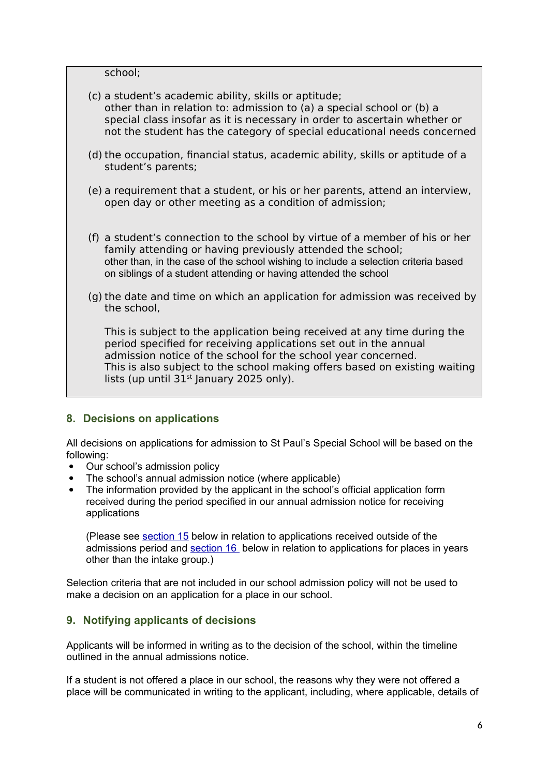school;

- (c) a student's academic ability, skills or aptitude; other than in relation to: admission to (a) a special school or (b) a special class insofar as it is necessary in order to ascertain whether or not the student has the category of special educational needs concerned
- (d) the occupation, financial status, academic ability, skills or aptitude of a student's parents;
- (e) a requirement that a student, or his or her parents, attend an interview, open day or other meeting as a condition of admission;
- (f) a student's connection to the school by virtue of a member of his or her family attending or having previously attended the school; other than, in the case of the school wishing to include a selection criteria based on siblings of a student attending or having attended the school
- (g) the date and time on which an application for admission was received by the school,

This is subject to the application being received at any time during the period specified for receiving applications set out in the annual admission notice of the school for the school year concerned. This is also subject to the school making offers based on existing waiting lists (up until  $31<sup>st</sup>$  January 2025 only).

### **8. Decisions on applications**

All decisions on applications for admission to St Paul's Special School will be based on the following:

- Our school's admission policy
- The school's annual admission notice (where applicable)
- The information provided by the applicant in the school's official application form received during the period specified in our annual admission notice for receiving applications

(Please see [section 15](#page-7-1) below in relation to applications received outside of the admissions period and [section 16](#page-7-0) below in relation to applications for places in years other than the intake group.)

Selection criteria that are not included in our school admission policy will not be used to make a decision on an application for a place in our school.

### **9. Notifying applicants of decisions**

Applicants will be informed in writing as to the decision of the school, within the timeline outlined in the annual admissions notice.

If a student is not offered a place in our school, the reasons why they were not offered a place will be communicated in writing to the applicant, including, where applicable, details of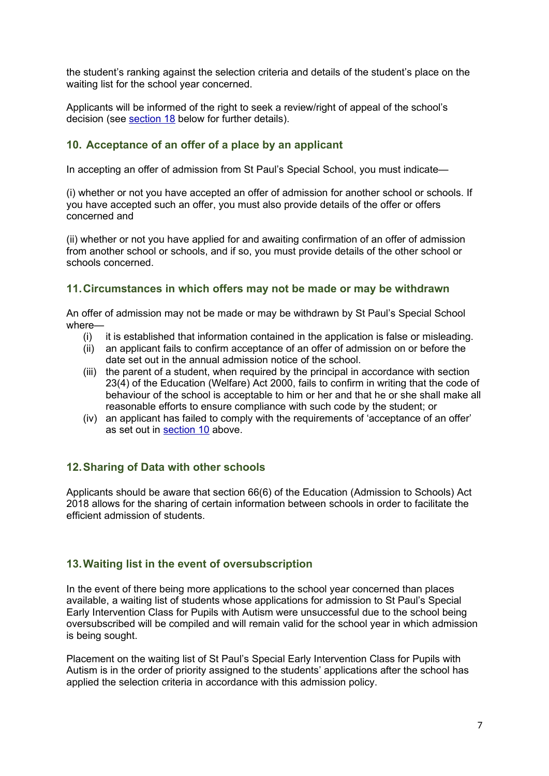the student's ranking against the selection criteria and details of the student's place on the waiting list for the school year concerned.

Applicants will be informed of the right to seek a review/right of appeal of the school's decision (see [section 18](#page-8-0) below for further details).

#### <span id="page-6-0"></span>**10. Acceptance of an offer of a place by an applicant**

In accepting an offer of admission from St Paul's Special School, you must indicate—

(i) whether or not you have accepted an offer of admission for another school or schools. If you have accepted such an offer, you must also provide details of the offer or offers concerned and

(ii) whether or not you have applied for and awaiting confirmation of an offer of admission from another school or schools, and if so, you must provide details of the other school or schools concerned.

#### **11.Circumstances in which offers may not be made or may be withdrawn**

An offer of admission may not be made or may be withdrawn by St Paul's Special School where—

- (i) it is established that information contained in the application is false or misleading.
- (ii) an applicant fails to confirm acceptance of an offer of admission on or before the date set out in the annual admission notice of the school.
- (iii) the parent of a student, when required by the principal in accordance with section 23(4) of the Education (Welfare) Act 2000, fails to confirm in writing that the code of behaviour of the school is acceptable to him or her and that he or she shall make all reasonable efforts to ensure compliance with such code by the student; or
- (iv) an applicant has failed to comply with the requirements of 'acceptance of an offer' as set out in [section 10](#page-6-0) above.

### **12.Sharing of Data with other schools**

Applicants should be aware that section 66(6) of the Education (Admission to Schools) Act 2018 allows for the sharing of certain information between schools in order to facilitate the efficient admission of students.

### **13.Waiting list in the event of oversubscription**

In the event of there being more applications to the school year concerned than places available, a waiting list of students whose applications for admission to St Paul's Special Early Intervention Class for Pupils with Autism were unsuccessful due to the school being oversubscribed will be compiled and will remain valid for the school year in which admission is being sought.

Placement on the waiting list of St Paul's Special Early Intervention Class for Pupils with Autism is in the order of priority assigned to the students' applications after the school has applied the selection criteria in accordance with this admission policy.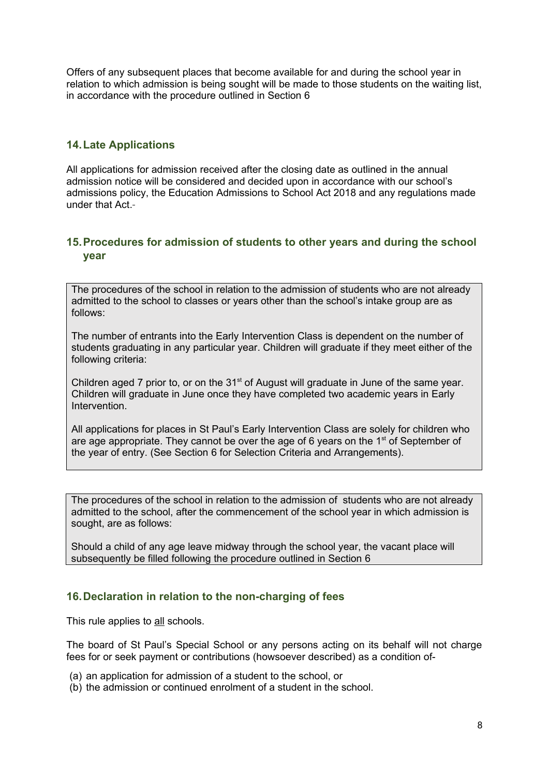Offers of any subsequent places that become available for and during the school year in relation to which admission is being sought will be made to those students on the waiting list, in accordance with the procedure outlined in Section 6

### **14.Late Applications**

All applications for admission received after the closing date as outlined in the annual admission notice will be considered and decided upon in accordance with our school's admissions policy, the Education Admissions to School Act 2018 and any regulations made under that Act.

#### <span id="page-7-1"></span>**15.Procedures for admission of students to other years and during the school year**

The procedures of the school in relation to the admission of students who are not already admitted to the school to classes or years other than the school's intake group are as follows:

The number of entrants into the Early Intervention Class is dependent on the number of students graduating in any particular year. Children will graduate if they meet either of the following criteria:

Children aged 7 prior to, or on the 31<sup>st</sup> of August will graduate in June of the same year. Children will graduate in June once they have completed two academic years in Early Intervention.

All applications for places in St Paul's Early Intervention Class are solely for children who are age appropriate. They cannot be over the age of 6 years on the  $1<sup>st</sup>$  of September of the year of entry. (See Section 6 for Selection Criteria and Arrangements).

The procedures of the school in relation to the admission of students who are not already admitted to the school, after the commencement of the school year in which admission is sought, are as follows:

Should a child of any age leave midway through the school year, the vacant place will subsequently be filled following the procedure outlined in Section 6

# <span id="page-7-0"></span>**16.Declaration in relation to the non-charging of fees**

This rule applies to all schools.

The board of St Paul's Special School or any persons acting on its behalf will not charge fees for or seek payment or contributions (howsoever described) as a condition of-

- (a) an application for admission of a student to the school, or
- (b) the admission or continued enrolment of a student in the school.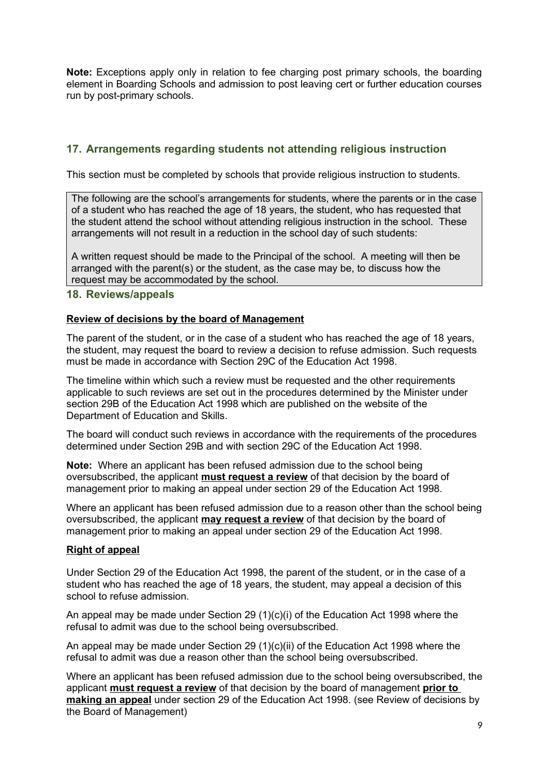**Note:** Exceptions apply only in relation to fee charging post primary schools, the boarding element in Boarding Schools and admission to post leaving cert or further education courses run by post-primary schools.

# **17. Arrangements regarding students not attending religious instruction**

This section must be completed by schools that provide religious instruction to students.

The following are the school's arrangements for students, where the parents or in the case of a student who has reached the age of 18 years, the student, who has requested that the student attend the school without attending religious instruction in the school. These arrangements will not result in a reduction in the school day of such students:

A written request should be made to the Principal of the school. A meeting will then be arranged with the parent(s) or the student, as the case may be, to discuss how the request may be accommodated by the school.

#### <span id="page-8-0"></span>**18. Reviews/appeals**

#### **Review of decisions by the board of Management**

The parent of the student, or in the case of a student who has reached the age of 18 years, the student, may request the board to review a decision to refuse admission. Such requests must be made in accordance with Section 29C of the Education Act 1998.

The timeline within which such a review must be requested and the other requirements applicable to such reviews are set out in the procedures determined by the Minister under section 29B of the Education Act 1998 which are published on the website of the Department of Education and Skills.

The board will conduct such reviews in accordance with the requirements of the procedures determined under Section 29B and with section 29C of the Education Act 1998.

**Note:** Where an applicant has been refused admission due to the school being oversubscribed, the applicant **must request a review** of that decision by the board of management prior to making an appeal under section 29 of the Education Act 1998.

Where an applicant has been refused admission due to a reason other than the school being oversubscribed, the applicant **may request a review** of that decision by the board of management prior to making an appeal under section 29 of the Education Act 1998.

#### **Right of appeal**

Under Section 29 of the Education Act 1998, the parent of the student, or in the case of a student who has reached the age of 18 years, the student, may appeal a decision of this school to refuse admission.

An appeal may be made under Section 29 (1)(c)(i) of the Education Act 1998 where the refusal to admit was due to the school being oversubscribed.

An appeal may be made under Section 29 (1)(c)(ii) of the Education Act 1998 where the refusal to admit was due a reason other than the school being oversubscribed.

Where an applicant has been refused admission due to the school being oversubscribed, the applicant **must request a review** of that decision by the board of management **prior to making an appeal** under section 29 of the Education Act 1998. (see Review of decisions by the Board of Management)